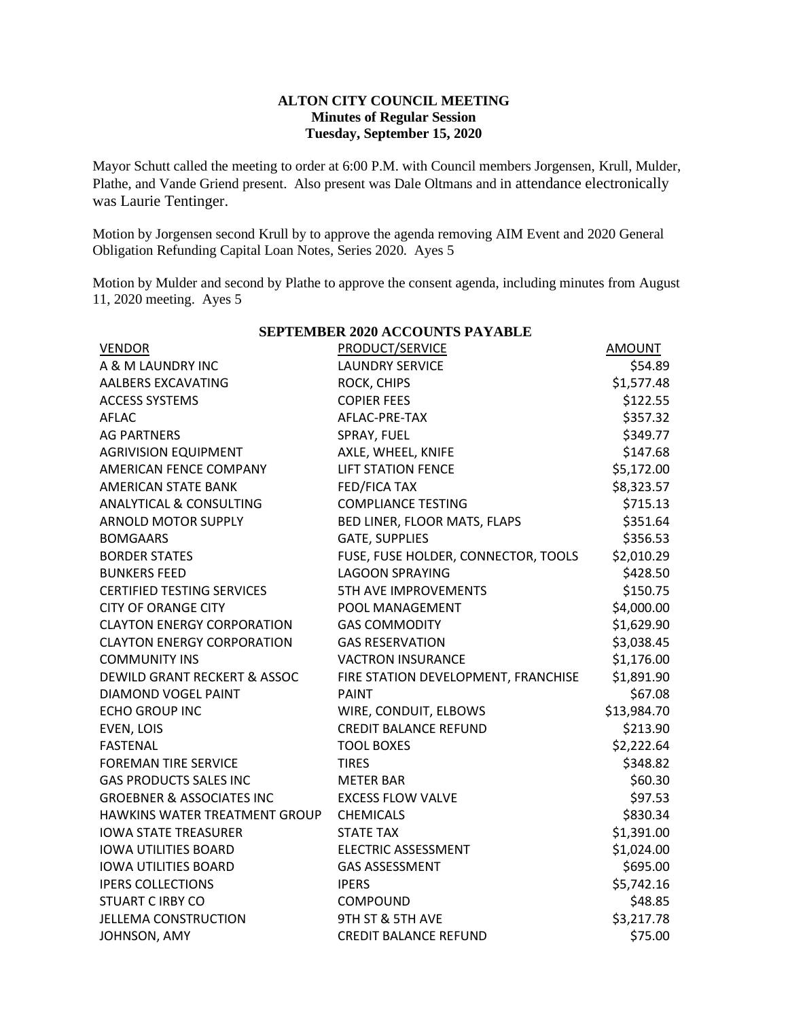## **ALTON CITY COUNCIL MEETING Minutes of Regular Session Tuesday, September 15, 2020**

Mayor Schutt called the meeting to order at 6:00 P.M. with Council members Jorgensen, Krull, Mulder, Plathe, and Vande Griend present. Also present was Dale Oltmans and in attendance electronically was Laurie Tentinger.

Motion by Jorgensen second Krull by to approve the agenda removing AIM Event and 2020 General Obligation Refunding Capital Loan Notes, Series 2020. Ayes 5

Motion by Mulder and second by Plathe to approve the consent agenda, including minutes from August 11, 2020 meeting. Ayes 5

| <b>VENDOR</b>                        | PRODUCT/SERVICE                     | AMOUNT      |
|--------------------------------------|-------------------------------------|-------------|
| A & M LAUNDRY INC                    | <b>LAUNDRY SERVICE</b>              | \$54.89     |
| AALBERS EXCAVATING                   | ROCK, CHIPS                         | \$1,577.48  |
| <b>ACCESS SYSTEMS</b>                | <b>COPIER FEES</b>                  | \$122.55    |
| <b>AFLAC</b>                         | AFLAC-PRE-TAX                       | \$357.32    |
| <b>AG PARTNERS</b>                   | SPRAY, FUEL                         | \$349.77    |
| <b>AGRIVISION EQUIPMENT</b>          | AXLE, WHEEL, KNIFE                  | \$147.68    |
| AMERICAN FENCE COMPANY               | <b>LIFT STATION FENCE</b>           | \$5,172.00  |
| <b>AMERICAN STATE BANK</b>           | FED/FICA TAX                        | \$8,323.57  |
| <b>ANALYTICAL &amp; CONSULTING</b>   | <b>COMPLIANCE TESTING</b>           | \$715.13    |
| <b>ARNOLD MOTOR SUPPLY</b>           | BED LINER, FLOOR MATS, FLAPS        | \$351.64    |
| <b>BOMGAARS</b>                      | <b>GATE, SUPPLIES</b>               | \$356.53    |
| <b>BORDER STATES</b>                 | FUSE, FUSE HOLDER, CONNECTOR, TOOLS | \$2,010.29  |
| <b>BUNKERS FEED</b>                  | <b>LAGOON SPRAYING</b>              | \$428.50    |
| <b>CERTIFIED TESTING SERVICES</b>    | <b>5TH AVE IMPROVEMENTS</b>         | \$150.75    |
| <b>CITY OF ORANGE CITY</b>           | POOL MANAGEMENT                     | \$4,000.00  |
| <b>CLAYTON ENERGY CORPORATION</b>    | <b>GAS COMMODITY</b>                | \$1,629.90  |
| <b>CLAYTON ENERGY CORPORATION</b>    | <b>GAS RESERVATION</b>              | \$3,038.45  |
| <b>COMMUNITY INS</b>                 | <b>VACTRON INSURANCE</b>            | \$1,176.00  |
| DEWILD GRANT RECKERT & ASSOC         | FIRE STATION DEVELOPMENT, FRANCHISE | \$1,891.90  |
| DIAMOND VOGEL PAINT                  | <b>PAINT</b>                        | \$67.08     |
| <b>ECHO GROUP INC</b>                | WIRE, CONDUIT, ELBOWS               | \$13,984.70 |
| EVEN, LOIS                           | <b>CREDIT BALANCE REFUND</b>        | \$213.90    |
| <b>FASTENAL</b>                      | <b>TOOL BOXES</b>                   | \$2,222.64  |
| <b>FOREMAN TIRE SERVICE</b>          | <b>TIRES</b>                        | \$348.82    |
| <b>GAS PRODUCTS SALES INC</b>        | <b>METER BAR</b>                    | \$60.30     |
| <b>GROEBNER &amp; ASSOCIATES INC</b> | <b>EXCESS FLOW VALVE</b>            | \$97.53     |
| HAWKINS WATER TREATMENT GROUP        | <b>CHEMICALS</b>                    | \$830.34    |
| <b>IOWA STATE TREASURER</b>          | <b>STATE TAX</b>                    | \$1,391.00  |
| <b>IOWA UTILITIES BOARD</b>          | <b>ELECTRIC ASSESSMENT</b>          | \$1,024.00  |
| <b>IOWA UTILITIES BOARD</b>          | <b>GAS ASSESSMENT</b>               | \$695.00    |
| <b>IPERS COLLECTIONS</b>             | <b>IPERS</b>                        | \$5,742.16  |
| <b>STUART C IRBY CO</b>              | COMPOUND                            | \$48.85     |
| <b>JELLEMA CONSTRUCTION</b>          | 9TH ST & 5TH AVE                    | \$3,217.78  |
| JOHNSON, AMY                         | <b>CREDIT BALANCE REFUND</b>        | \$75.00     |

## **SEPTEMBER 2020 ACCOUNTS PAYABLE**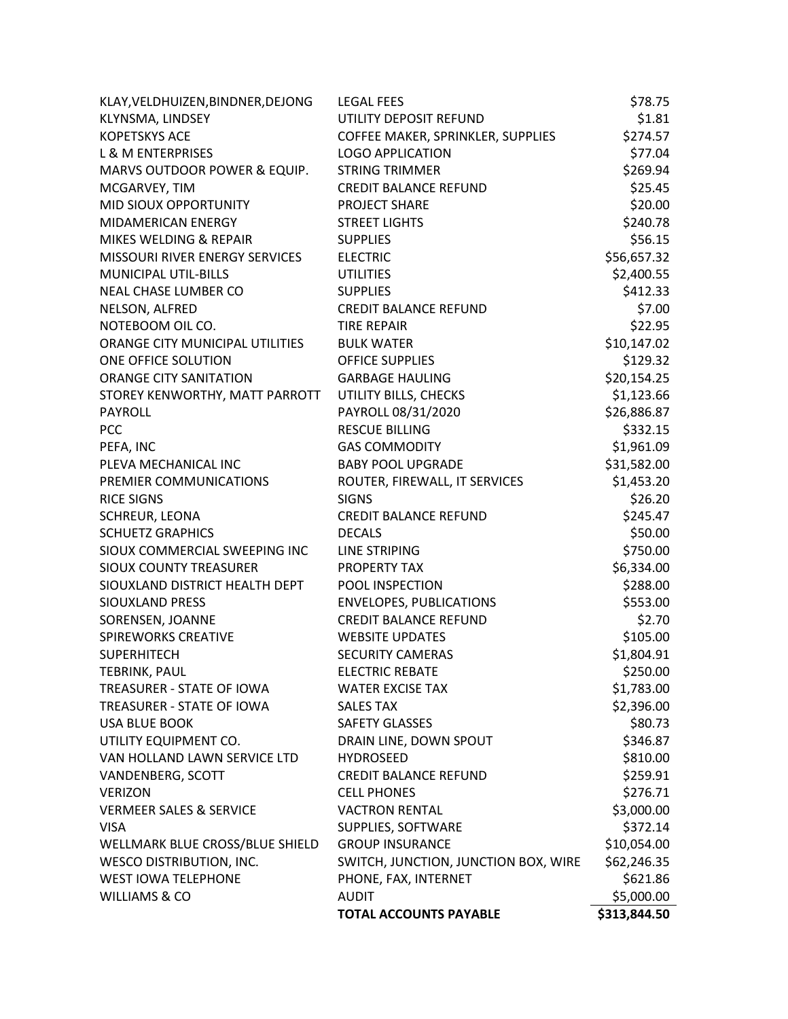| KLAY, VELDHUIZEN, BINDNER, DEJONG  | <b>LEGAL FEES</b>                    | \$78.75      |
|------------------------------------|--------------------------------------|--------------|
| KLYNSMA, LINDSEY                   | UTILITY DEPOSIT REFUND               | \$1.81       |
| <b>KOPETSKYS ACE</b>               | COFFEE MAKER, SPRINKLER, SUPPLIES    | \$274.57     |
| <b>L &amp; M ENTERPRISES</b>       | <b>LOGO APPLICATION</b>              | \$77.04      |
| MARVS OUTDOOR POWER & EQUIP.       | <b>STRING TRIMMER</b>                | \$269.94     |
| MCGARVEY, TIM                      | <b>CREDIT BALANCE REFUND</b>         | \$25.45      |
| MID SIOUX OPPORTUNITY              | <b>PROJECT SHARE</b>                 | \$20.00      |
| MIDAMERICAN ENERGY                 | <b>STREET LIGHTS</b>                 | \$240.78     |
| MIKES WELDING & REPAIR             | <b>SUPPLIES</b>                      | \$56.15      |
| MISSOURI RIVER ENERGY SERVICES     | <b>ELECTRIC</b>                      | \$56,657.32  |
| <b>MUNICIPAL UTIL-BILLS</b>        | <b>UTILITIES</b>                     | \$2,400.55   |
| NEAL CHASE LUMBER CO               | <b>SUPPLIES</b>                      | \$412.33     |
| NELSON, ALFRED                     | <b>CREDIT BALANCE REFUND</b>         | \$7.00       |
| NOTEBOOM OIL CO.                   | <b>TIRE REPAIR</b>                   | \$22.95      |
| ORANGE CITY MUNICIPAL UTILITIES    | <b>BULK WATER</b>                    | \$10,147.02  |
| ONE OFFICE SOLUTION                | <b>OFFICE SUPPLIES</b>               | \$129.32     |
| <b>ORANGE CITY SANITATION</b>      | <b>GARBAGE HAULING</b>               | \$20,154.25  |
| STOREY KENWORTHY, MATT PARROTT     | UTILITY BILLS, CHECKS                | \$1,123.66   |
| <b>PAYROLL</b>                     | PAYROLL 08/31/2020                   | \$26,886.87  |
| <b>PCC</b>                         | <b>RESCUE BILLING</b>                | \$332.15     |
| PEFA, INC                          | <b>GAS COMMODITY</b>                 | \$1,961.09   |
| PLEVA MECHANICAL INC               | <b>BABY POOL UPGRADE</b>             | \$31,582.00  |
| PREMIER COMMUNICATIONS             | ROUTER, FIREWALL, IT SERVICES        | \$1,453.20   |
| <b>RICE SIGNS</b>                  | <b>SIGNS</b>                         | \$26.20      |
| SCHREUR, LEONA                     | <b>CREDIT BALANCE REFUND</b>         | \$245.47     |
| <b>SCHUETZ GRAPHICS</b>            | <b>DECALS</b>                        | \$50.00      |
| SIOUX COMMERCIAL SWEEPING INC      | LINE STRIPING                        | \$750.00     |
| <b>SIOUX COUNTY TREASURER</b>      | PROPERTY TAX                         | \$6,334.00   |
| SIOUXLAND DISTRICT HEALTH DEPT     | POOL INSPECTION                      | \$288.00     |
| <b>SIOUXLAND PRESS</b>             | <b>ENVELOPES, PUBLICATIONS</b>       | \$553.00     |
| SORENSEN, JOANNE                   | <b>CREDIT BALANCE REFUND</b>         | \$2.70       |
| <b>SPIREWORKS CREATIVE</b>         | <b>WEBSITE UPDATES</b>               | \$105.00     |
| <b>SUPERHITECH</b>                 | <b>SECURITY CAMERAS</b>              | \$1,804.91   |
| TEBRINK, PAUL                      | <b>ELECTRIC REBATE</b>               | \$250.00     |
| TREASURER - STATE OF IOWA          | <b>WATER EXCISE TAX</b>              | \$1,783.00   |
| TREASURER - STATE OF IOWA          | <b>SALES TAX</b>                     | \$2,396.00   |
| <b>USA BLUE BOOK</b>               | <b>SAFETY GLASSES</b>                | \$80.73      |
| UTILITY EQUIPMENT CO.              | DRAIN LINE, DOWN SPOUT               | \$346.87     |
| VAN HOLLAND LAWN SERVICE LTD       | <b>HYDROSEED</b>                     | \$810.00     |
| VANDENBERG, SCOTT                  | <b>CREDIT BALANCE REFUND</b>         | \$259.91     |
| <b>VERIZON</b>                     | <b>CELL PHONES</b>                   | \$276.71     |
| <b>VERMEER SALES &amp; SERVICE</b> | <b>VACTRON RENTAL</b>                | \$3,000.00   |
| <b>VISA</b>                        | SUPPLIES, SOFTWARE                   | \$372.14     |
| WELLMARK BLUE CROSS/BLUE SHIELD    | <b>GROUP INSURANCE</b>               | \$10,054.00  |
| <b>WESCO DISTRIBUTION, INC.</b>    | SWITCH, JUNCTION, JUNCTION BOX, WIRE | \$62,246.35  |
| <b>WEST IOWA TELEPHONE</b>         | PHONE, FAX, INTERNET                 | \$621.86     |
| WILLIAMS & CO                      | <b>AUDIT</b>                         | \$5,000.00   |
|                                    | <b>TOTAL ACCOUNTS PAYABLE</b>        | \$313,844.50 |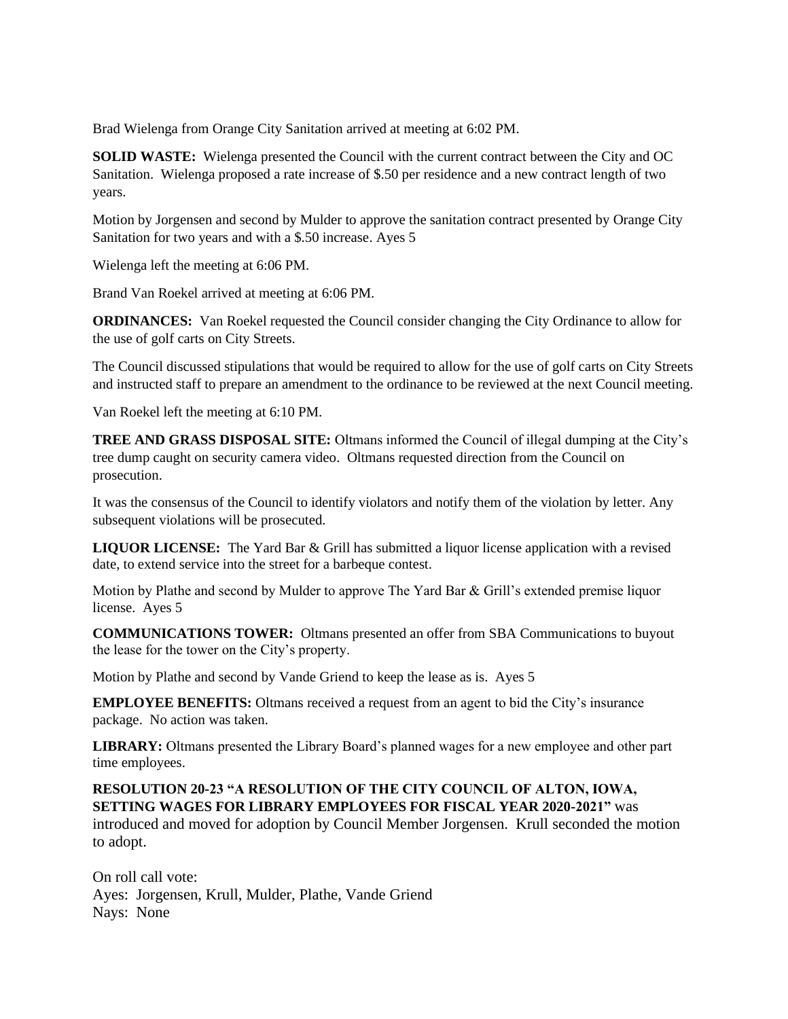Brad Wielenga from Orange City Sanitation arrived at meeting at 6:02 PM.

**SOLID WASTE:** Wielenga presented the Council with the current contract between the City and OC Sanitation. Wielenga proposed a rate increase of \$.50 per residence and a new contract length of two years.

Motion by Jorgensen and second by Mulder to approve the sanitation contract presented by Orange City Sanitation for two years and with a \$.50 increase. Ayes 5

Wielenga left the meeting at 6:06 PM.

Brand Van Roekel arrived at meeting at 6:06 PM.

**ORDINANCES:** Van Roekel requested the Council consider changing the City Ordinance to allow for the use of golf carts on City Streets.

The Council discussed stipulations that would be required to allow for the use of golf carts on City Streets and instructed staff to prepare an amendment to the ordinance to be reviewed at the next Council meeting.

Van Roekel left the meeting at 6:10 PM.

**TREE AND GRASS DISPOSAL SITE:** Oltmans informed the Council of illegal dumping at the City's tree dump caught on security camera video. Oltmans requested direction from the Council on prosecution.

It was the consensus of the Council to identify violators and notify them of the violation by letter. Any subsequent violations will be prosecuted.

**LIQUOR LICENSE:** The Yard Bar & Grill has submitted a liquor license application with a revised date, to extend service into the street for a barbeque contest.

Motion by Plathe and second by Mulder to approve The Yard Bar & Grill's extended premise liquor license. Ayes 5

**COMMUNICATIONS TOWER:** Oltmans presented an offer from SBA Communications to buyout the lease for the tower on the City's property.

Motion by Plathe and second by Vande Griend to keep the lease as is. Ayes 5

**EMPLOYEE BENEFITS:** Oltmans received a request from an agent to bid the City's insurance package. No action was taken.

**LIBRARY:** Oltmans presented the Library Board's planned wages for a new employee and other part time employees.

**RESOLUTION 20-23 "A RESOLUTION OF THE CITY COUNCIL OF ALTON, IOWA, SETTING WAGES FOR LIBRARY EMPLOYEES FOR FISCAL YEAR 2020-2021"** was introduced and moved for adoption by Council Member Jorgensen. Krull seconded the motion to adopt.

On roll call vote: Ayes: Jorgensen, Krull, Mulder, Plathe, Vande Griend Nays: None